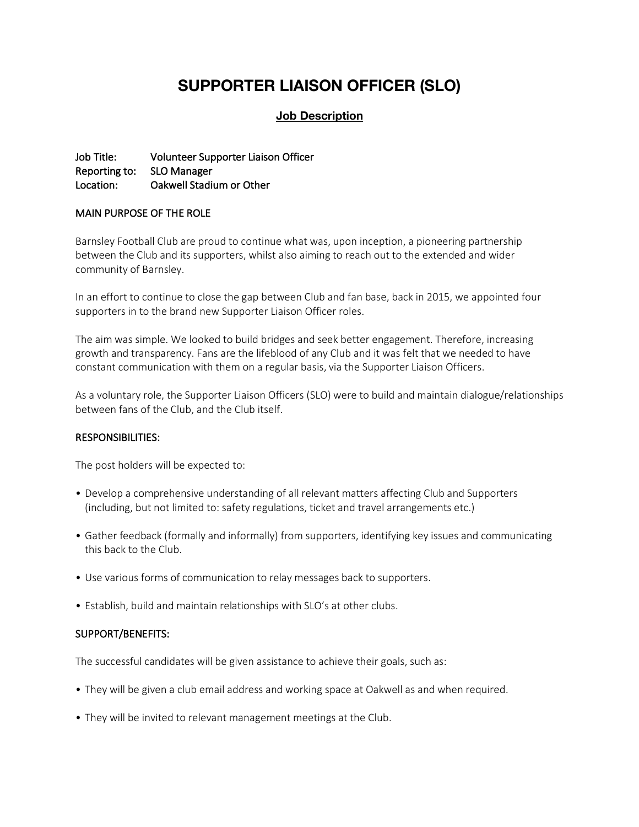# **SUPPORTER LIAISON OFFICER (SLO)**

# **Job Description**

Job Title: Volunteer Supporter Liaison Officer Reporting to: SLO Manager Location: Oakwell Stadium or Other

### MAIN PURPOSE OF THE ROLE

Barnsley Football Club are proud to continue what was, upon inception, a pioneering partnership between the Club and its supporters, whilst also aiming to reach out to the extended and wider community of Barnsley.

In an effort to continue to close the gap between Club and fan base, back in 2015, we appointed four supporters in to the brand new Supporter Liaison Officer roles.

The aim was simple. We looked to build bridges and seek better engagement. Therefore, increasing growth and transparency. Fans are the lifeblood of any Club and it was felt that we needed to have constant communication with them on a regular basis, via the Supporter Liaison Officers.

As a voluntary role, the Supporter Liaison Officers (SLO) were to build and maintain dialogue/relationships between fans of the Club, and the Club itself.

#### RESPONSIBILITIES:

The post holders will be expected to:

- Develop a comprehensive understanding of all relevant matters affecting Club and Supporters (including, but not limited to: safety regulations, ticket and travel arrangements etc.)
- Gather feedback (formally and informally) from supporters, identifying key issues and communicating this back to the Club.
- Use various forms of communication to relay messages back to supporters.
- Establish, build and maintain relationships with SLO's at other clubs.

#### SUPPORT/BENEFITS:

The successful candidates will be given assistance to achieve their goals, such as:

- They will be given a club email address and working space at Oakwell as and when required.
- They will be invited to relevant management meetings at the Club.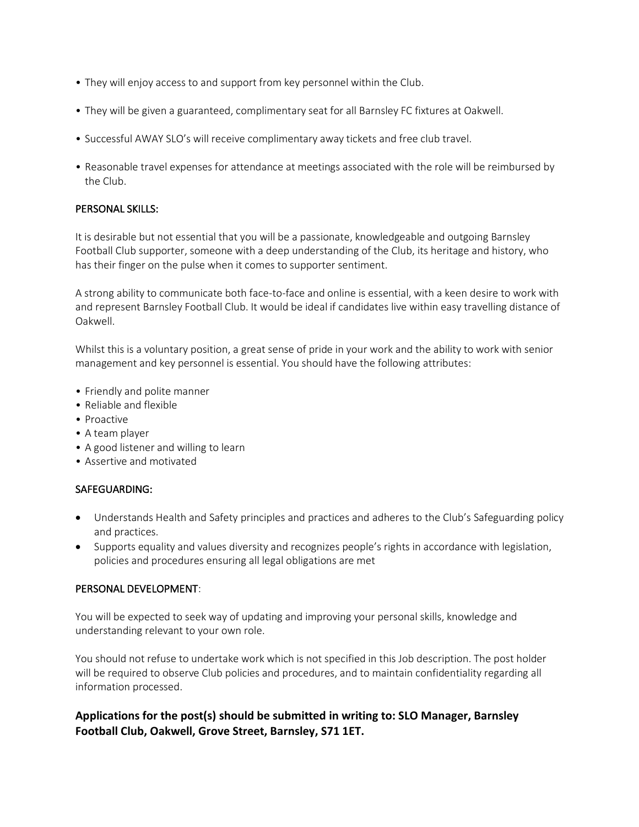- They will enjoy access to and support from key personnel within the Club.
- They will be given a guaranteed, complimentary seat for all Barnsley FC fixtures at Oakwell.
- Successful AWAY SLO's will receive complimentary away tickets and free club travel.
- Reasonable travel expenses for attendance at meetings associated with the role will be reimbursed by the Club.

## PERSONAL SKILLS:

It is desirable but not essential that you will be a passionate, knowledgeable and outgoing Barnsley Football Club supporter, someone with a deep understanding of the Club, its heritage and history, who has their finger on the pulse when it comes to supporter sentiment.

A strong ability to communicate both face-to-face and online is essential, with a keen desire to work with and represent Barnsley Football Club. It would be ideal if candidates live within easy travelling distance of Oakwell.

Whilst this is a voluntary position, a great sense of pride in your work and the ability to work with senior management and key personnel is essential. You should have the following attributes:

- Friendly and polite manner
- Reliable and flexible
- Proactive
- A team player
- A good listener and willing to learn
- Assertive and motivated

#### SAFEGUARDING:

- Understands Health and Safety principles and practices and adheres to the Club's Safeguarding policy and practices.
- Supports equality and values diversity and recognizes people's rights in accordance with legislation, policies and procedures ensuring all legal obligations are met

#### PERSONAL DEVELOPMENT:

You will be expected to seek way of updating and improving your personal skills, knowledge and understanding relevant to your own role.

You should not refuse to undertake work which is not specified in this Job description. The post holder will be required to observe Club policies and procedures, and to maintain confidentiality regarding all information processed.

# **Applications for the post(s) should be submitted in writing to: SLO Manager, Barnsley Football Club, Oakwell, Grove Street, Barnsley, S71 1ET.**